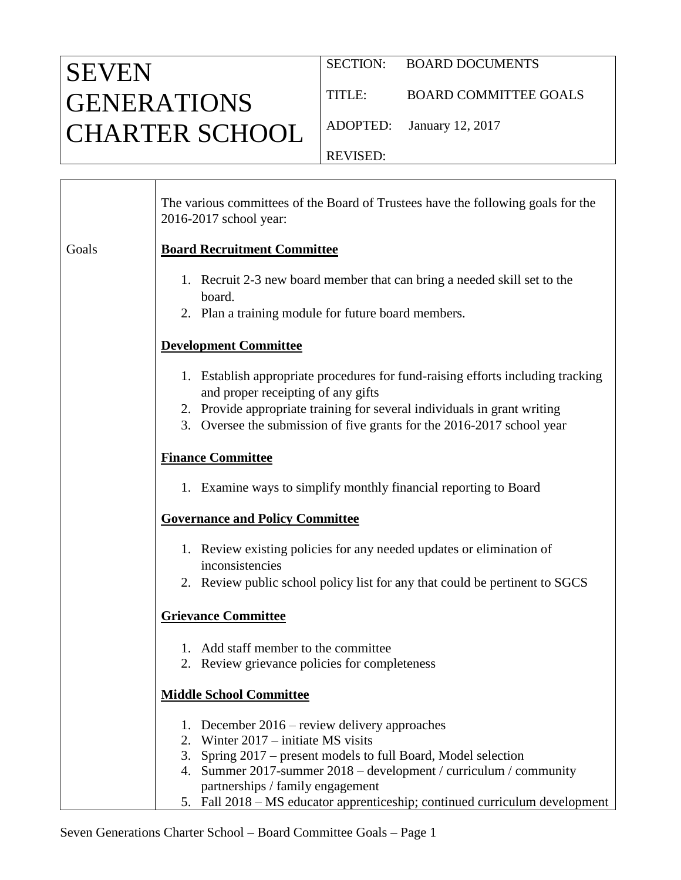## SEVEN GENERATIONS CHARTER SCHOOL

┯

TITLE: BOARD COMMITTEE GOALS

ADOPTED: January 12, 2017

REVISED:

|       | The various committees of the Board of Trustees have the following goals for the<br>2016-2017 school year:                                                                                                                                                                                                                                       |
|-------|--------------------------------------------------------------------------------------------------------------------------------------------------------------------------------------------------------------------------------------------------------------------------------------------------------------------------------------------------|
| Goals | <b>Board Recruitment Committee</b>                                                                                                                                                                                                                                                                                                               |
|       | 1. Recruit 2-3 new board member that can bring a needed skill set to the<br>board.<br>2. Plan a training module for future board members.                                                                                                                                                                                                        |
|       | <b>Development Committee</b>                                                                                                                                                                                                                                                                                                                     |
|       | 1. Establish appropriate procedures for fund-raising efforts including tracking<br>and proper receipting of any gifts<br>2. Provide appropriate training for several individuals in grant writing<br>3. Oversee the submission of five grants for the 2016-2017 school year                                                                      |
|       | <b>Finance Committee</b>                                                                                                                                                                                                                                                                                                                         |
|       | 1. Examine ways to simplify monthly financial reporting to Board                                                                                                                                                                                                                                                                                 |
|       | <b>Governance and Policy Committee</b>                                                                                                                                                                                                                                                                                                           |
|       | 1. Review existing policies for any needed updates or elimination of<br>inconsistencies<br>2. Review public school policy list for any that could be pertinent to SGCS                                                                                                                                                                           |
|       | <b>Grievance Committee</b>                                                                                                                                                                                                                                                                                                                       |
|       | 1. Add staff member to the committee<br>2. Review grievance policies for completeness                                                                                                                                                                                                                                                            |
|       | <b>Middle School Committee</b>                                                                                                                                                                                                                                                                                                                   |
|       | 1. December $2016$ – review delivery approaches<br>2. Winter 2017 – initiate MS visits<br>3. Spring 2017 – present models to full Board, Model selection<br>4. Summer 2017-summer 2018 – development / curriculum / community<br>partnerships / family engagement<br>5. Fall 2018 - MS educator apprenticeship; continued curriculum development |

Seven Generations Charter School – Board Committee Goals – Page 1